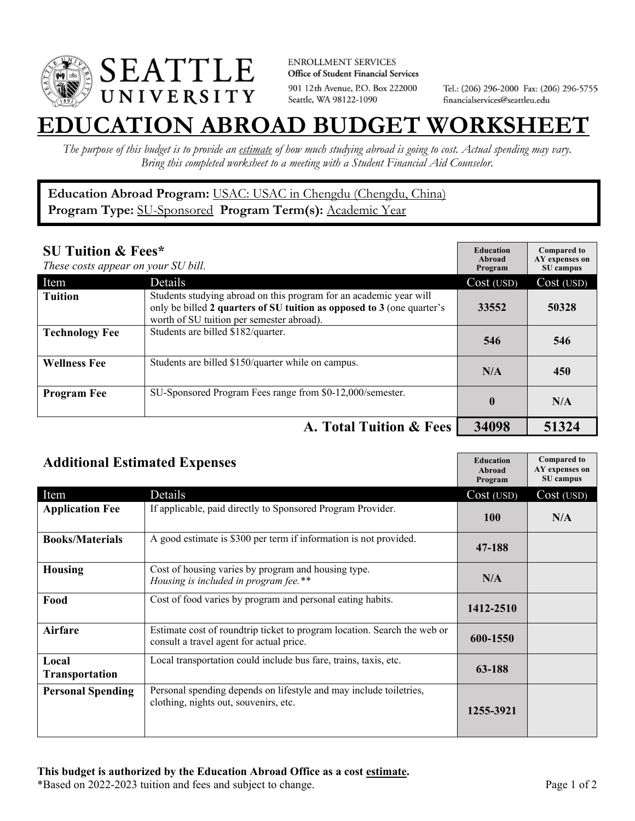

**ENROLLMENT SERVICES** Office of Student Financial Services 901 12th Avenue, P.O. Box 222000 Seattle, WA 98122-1090

Tel.: (206) 296-2000 Fax: (206) 296-5755 financialservices@seattleu.edu

## **EATION ABROAD BUDGET WORKSHEE**

*The purpose of this budget is to provide an estimate of how much studying abroad is going to cost. Actual spending may vary. Bring this completed worksheet to a meeting with a Student Financial Aid Counselor.* 

## **Education Abroad Program:** USAC: USAC in Chengdu (Chengdu, China) **Program Type:** SU-Sponsored **Program Term(s):** Academic Year

| <b>SU Tuition &amp; Fees*</b><br>These costs appear on your SU bill. |                                                                                                                                                                                           | <b>Education</b><br>Abroad<br>Program | <b>Compared to</b><br>AY expenses on<br>SU campus |
|----------------------------------------------------------------------|-------------------------------------------------------------------------------------------------------------------------------------------------------------------------------------------|---------------------------------------|---------------------------------------------------|
| Item                                                                 | <b>Details</b>                                                                                                                                                                            | Cost (USD)                            | Cost (USD)                                        |
| <b>Tuition</b>                                                       | Students studying abroad on this program for an academic year will<br>only be billed 2 quarters of SU tuition as opposed to 3 (one quarter's<br>worth of SU tuition per semester abroad). | 33552                                 | 50328                                             |
| <b>Technology Fee</b>                                                | Students are billed \$182/quarter.                                                                                                                                                        | 546                                   | 546                                               |
| <b>Wellness Fee</b>                                                  | Students are billed \$150/quarter while on campus.                                                                                                                                        | N/A                                   | 450                                               |
| <b>Program Fee</b>                                                   | SU-Sponsored Program Fees range from \$0-12,000/semester.                                                                                                                                 | $\mathbf 0$                           | N/A                                               |
|                                                                      | A. Total Tuition & Fees                                                                                                                                                                   | 34098                                 | 51324                                             |

| <b>Additional Estimated Expenses</b> |                                                                                                                      | <b>Education</b><br>Abroad<br>Program | <b>Compared to</b><br>AY expenses on<br>SU campus |
|--------------------------------------|----------------------------------------------------------------------------------------------------------------------|---------------------------------------|---------------------------------------------------|
| Item                                 | Details                                                                                                              | Cost (USD)                            | Cost (USD)                                        |
| <b>Application Fee</b>               | If applicable, paid directly to Sponsored Program Provider.                                                          | <b>100</b>                            | N/A                                               |
| <b>Books/Materials</b>               | A good estimate is \$300 per term if information is not provided.                                                    | 47-188                                |                                                   |
| <b>Housing</b>                       | Cost of housing varies by program and housing type.<br>Housing is included in program fee.**                         | N/A                                   |                                                   |
| Food                                 | Cost of food varies by program and personal eating habits.                                                           | 1412-2510                             |                                                   |
| Airfare                              | Estimate cost of roundtrip ticket to program location. Search the web or<br>consult a travel agent for actual price. | 600-1550                              |                                                   |
| Local<br><b>Transportation</b>       | Local transportation could include bus fare, trains, taxis, etc.                                                     | 63-188                                |                                                   |
| <b>Personal Spending</b>             | Personal spending depends on lifestyle and may include toiletries,<br>clothing, nights out, souvenirs, etc.          | 1255-3921                             |                                                   |

\*Based on 2022-2023 tuition and fees and subject to change. Page 1 of 2